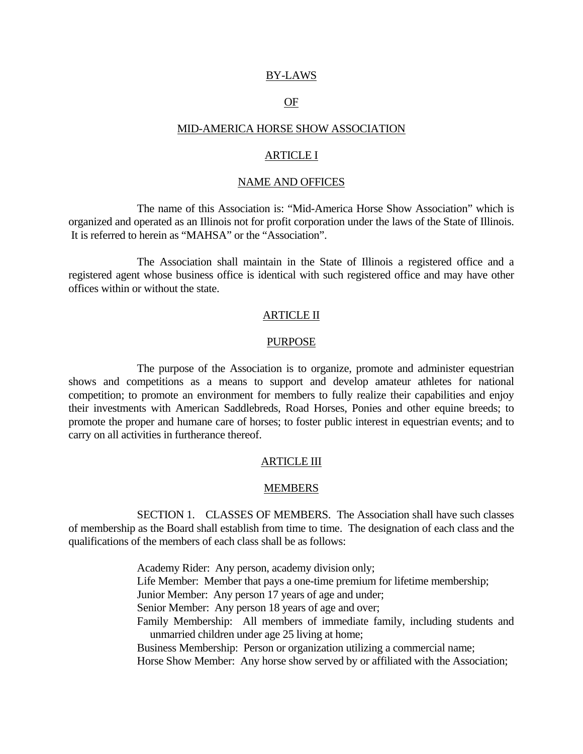### BY-LAWS

# **OF**

### MID-AMERICA HORSE SHOW ASSOCIATION

### ARTICLE I

#### NAME AND OFFICES

 The name of this Association is: "Mid-America Horse Show Association" which is organized and operated as an Illinois not for profit corporation under the laws of the State of Illinois. It is referred to herein as "MAHSA" or the "Association".

 The Association shall maintain in the State of Illinois a registered office and a registered agent whose business office is identical with such registered office and may have other offices within or without the state.

## ARTICLE II

#### PURPOSE

 The purpose of the Association is to organize, promote and administer equestrian shows and competitions as a means to support and develop amateur athletes for national competition; to promote an environment for members to fully realize their capabilities and enjoy their investments with American Saddlebreds, Road Horses, Ponies and other equine breeds; to promote the proper and humane care of horses; to foster public interest in equestrian events; and to carry on all activities in furtherance thereof.

# ARTICLE III

### MEMBERS

 SECTION 1. CLASSES OF MEMBERS. The Association shall have such classes of membership as the Board shall establish from time to time. The designation of each class and the qualifications of the members of each class shall be as follows:

> Academy Rider: Any person, academy division only; Life Member: Member that pays a one-time premium for lifetime membership; Junior Member: Any person 17 years of age and under; Senior Member: Any person 18 years of age and over; Family Membership: All members of immediate family, including students and unmarried children under age 25 living at home; Business Membership: Person or organization utilizing a commercial name; Horse Show Member: Any horse show served by or affiliated with the Association;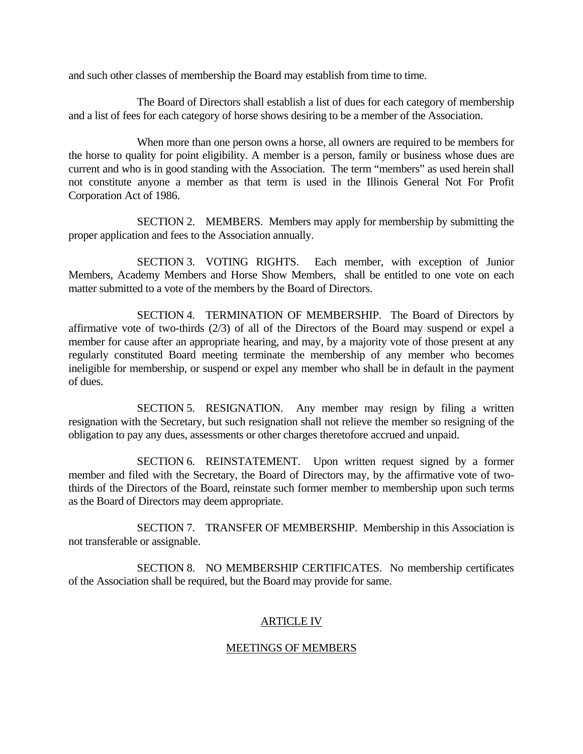and such other classes of membership the Board may establish from time to time.

 The Board of Directors shall establish a list of dues for each category of membership and a list of fees for each category of horse shows desiring to be a member of the Association.

 When more than one person owns a horse, all owners are required to be members for the horse to quality for point eligibility. A member is a person, family or business whose dues are current and who is in good standing with the Association. The term "members" as used herein shall not constitute anyone a member as that term is used in the Illinois General Not For Profit Corporation Act of 1986.

 SECTION 2. MEMBERS. Members may apply for membership by submitting the proper application and fees to the Association annually.

 SECTION 3. VOTING RIGHTS. Each member, with exception of Junior Members, Academy Members and Horse Show Members, shall be entitled to one vote on each matter submitted to a vote of the members by the Board of Directors.

 SECTION 4. TERMINATION OF MEMBERSHIP. The Board of Directors by affirmative vote of two-thirds (2/3) of all of the Directors of the Board may suspend or expel a member for cause after an appropriate hearing, and may, by a majority vote of those present at any regularly constituted Board meeting terminate the membership of any member who becomes ineligible for membership, or suspend or expel any member who shall be in default in the payment of dues.

 SECTION 5. RESIGNATION. Any member may resign by filing a written resignation with the Secretary, but such resignation shall not relieve the member so resigning of the obligation to pay any dues, assessments or other charges theretofore accrued and unpaid.

 SECTION 6. REINSTATEMENT. Upon written request signed by a former member and filed with the Secretary, the Board of Directors may, by the affirmative vote of twothirds of the Directors of the Board, reinstate such former member to membership upon such terms as the Board of Directors may deem appropriate.

 SECTION 7. TRANSFER OF MEMBERSHIP. Membership in this Association is not transferable or assignable.

 SECTION 8. NO MEMBERSHIP CERTIFICATES. No membership certificates of the Association shall be required, but the Board may provide for same.

# ARTICLE IV

# MEETINGS OF MEMBERS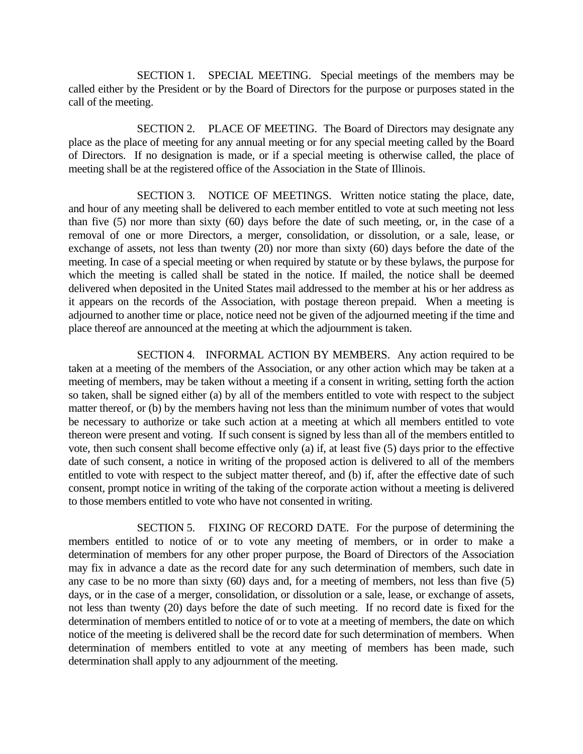SECTION 1. SPECIAL MEETING. Special meetings of the members may be called either by the President or by the Board of Directors for the purpose or purposes stated in the call of the meeting.

 SECTION 2. PLACE OF MEETING. The Board of Directors may designate any place as the place of meeting for any annual meeting or for any special meeting called by the Board of Directors. If no designation is made, or if a special meeting is otherwise called, the place of meeting shall be at the registered office of the Association in the State of Illinois.

 SECTION 3. NOTICE OF MEETINGS. Written notice stating the place, date, and hour of any meeting shall be delivered to each member entitled to vote at such meeting not less than five (5) nor more than sixty (60) days before the date of such meeting, or, in the case of a removal of one or more Directors, a merger, consolidation, or dissolution, or a sale, lease, or exchange of assets, not less than twenty (20) nor more than sixty (60) days before the date of the meeting. In case of a special meeting or when required by statute or by these bylaws, the purpose for which the meeting is called shall be stated in the notice. If mailed, the notice shall be deemed delivered when deposited in the United States mail addressed to the member at his or her address as it appears on the records of the Association, with postage thereon prepaid. When a meeting is adjourned to another time or place, notice need not be given of the adjourned meeting if the time and place thereof are announced at the meeting at which the adjournment is taken.

 SECTION 4. INFORMAL ACTION BY MEMBERS. Any action required to be taken at a meeting of the members of the Association, or any other action which may be taken at a meeting of members, may be taken without a meeting if a consent in writing, setting forth the action so taken, shall be signed either (a) by all of the members entitled to vote with respect to the subject matter thereof, or (b) by the members having not less than the minimum number of votes that would be necessary to authorize or take such action at a meeting at which all members entitled to vote thereon were present and voting. If such consent is signed by less than all of the members entitled to vote, then such consent shall become effective only (a) if, at least five (5) days prior to the effective date of such consent, a notice in writing of the proposed action is delivered to all of the members entitled to vote with respect to the subject matter thereof, and (b) if, after the effective date of such consent, prompt notice in writing of the taking of the corporate action without a meeting is delivered to those members entitled to vote who have not consented in writing.

 SECTION 5. FIXING OF RECORD DATE. For the purpose of determining the members entitled to notice of or to vote any meeting of members, or in order to make a determination of members for any other proper purpose, the Board of Directors of the Association may fix in advance a date as the record date for any such determination of members, such date in any case to be no more than sixty (60) days and, for a meeting of members, not less than five (5) days, or in the case of a merger, consolidation, or dissolution or a sale, lease, or exchange of assets, not less than twenty (20) days before the date of such meeting. If no record date is fixed for the determination of members entitled to notice of or to vote at a meeting of members, the date on which notice of the meeting is delivered shall be the record date for such determination of members. When determination of members entitled to vote at any meeting of members has been made, such determination shall apply to any adjournment of the meeting.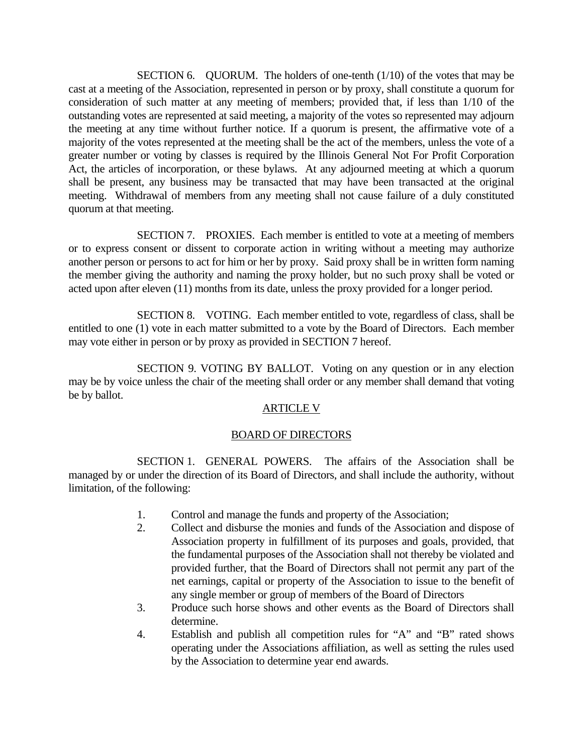SECTION 6. QUORUM. The holders of one-tenth (1/10) of the votes that may be cast at a meeting of the Association, represented in person or by proxy, shall constitute a quorum for consideration of such matter at any meeting of members; provided that, if less than 1/10 of the outstanding votes are represented at said meeting, a majority of the votes so represented may adjourn the meeting at any time without further notice. If a quorum is present, the affirmative vote of a majority of the votes represented at the meeting shall be the act of the members, unless the vote of a greater number or voting by classes is required by the Illinois General Not For Profit Corporation Act, the articles of incorporation, or these bylaws. At any adjourned meeting at which a quorum shall be present, any business may be transacted that may have been transacted at the original meeting. Withdrawal of members from any meeting shall not cause failure of a duly constituted quorum at that meeting.

 SECTION 7. PROXIES. Each member is entitled to vote at a meeting of members or to express consent or dissent to corporate action in writing without a meeting may authorize another person or persons to act for him or her by proxy. Said proxy shall be in written form naming the member giving the authority and naming the proxy holder, but no such proxy shall be voted or acted upon after eleven (11) months from its date, unless the proxy provided for a longer period.

 SECTION 8. VOTING. Each member entitled to vote, regardless of class, shall be entitled to one (1) vote in each matter submitted to a vote by the Board of Directors. Each member may vote either in person or by proxy as provided in SECTION 7 hereof.

 SECTION 9. VOTING BY BALLOT. Voting on any question or in any election may be by voice unless the chair of the meeting shall order or any member shall demand that voting be by ballot.

# ARTICLE V

# BOARD OF DIRECTORS

 SECTION 1. GENERAL POWERS. The affairs of the Association shall be managed by or under the direction of its Board of Directors, and shall include the authority, without limitation, of the following:

- 1. Control and manage the funds and property of the Association;
- 2. Collect and disburse the monies and funds of the Association and dispose of Association property in fulfillment of its purposes and goals, provided, that the fundamental purposes of the Association shall not thereby be violated and provided further, that the Board of Directors shall not permit any part of the net earnings, capital or property of the Association to issue to the benefit of any single member or group of members of the Board of Directors
- 3. Produce such horse shows and other events as the Board of Directors shall determine.
- 4. Establish and publish all competition rules for "A" and "B" rated shows operating under the Associations affiliation, as well as setting the rules used by the Association to determine year end awards.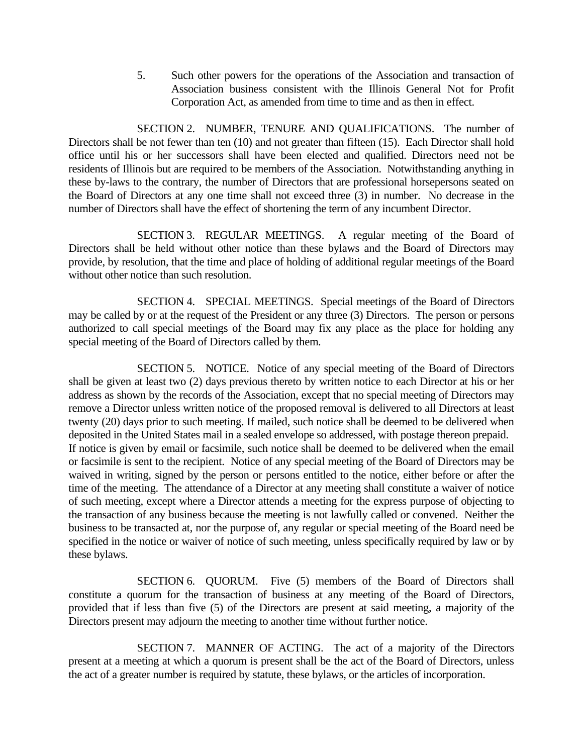5. Such other powers for the operations of the Association and transaction of Association business consistent with the Illinois General Not for Profit Corporation Act, as amended from time to time and as then in effect.

 SECTION 2. NUMBER, TENURE AND QUALIFICATIONS. The number of Directors shall be not fewer than ten (10) and not greater than fifteen (15). Each Director shall hold office until his or her successors shall have been elected and qualified. Directors need not be residents of Illinois but are required to be members of the Association. Notwithstanding anything in these by-laws to the contrary, the number of Directors that are professional horsepersons seated on the Board of Directors at any one time shall not exceed three (3) in number. No decrease in the number of Directors shall have the effect of shortening the term of any incumbent Director.

 SECTION 3. REGULAR MEETINGS. A regular meeting of the Board of Directors shall be held without other notice than these bylaws and the Board of Directors may provide, by resolution, that the time and place of holding of additional regular meetings of the Board without other notice than such resolution.

 SECTION 4. SPECIAL MEETINGS. Special meetings of the Board of Directors may be called by or at the request of the President or any three (3) Directors. The person or persons authorized to call special meetings of the Board may fix any place as the place for holding any special meeting of the Board of Directors called by them.

 SECTION 5. NOTICE. Notice of any special meeting of the Board of Directors shall be given at least two (2) days previous thereto by written notice to each Director at his or her address as shown by the records of the Association, except that no special meeting of Directors may remove a Director unless written notice of the proposed removal is delivered to all Directors at least twenty (20) days prior to such meeting. If mailed, such notice shall be deemed to be delivered when deposited in the United States mail in a sealed envelope so addressed, with postage thereon prepaid. If notice is given by email or facsimile, such notice shall be deemed to be delivered when the email or facsimile is sent to the recipient. Notice of any special meeting of the Board of Directors may be waived in writing, signed by the person or persons entitled to the notice, either before or after the time of the meeting. The attendance of a Director at any meeting shall constitute a waiver of notice of such meeting, except where a Director attends a meeting for the express purpose of objecting to the transaction of any business because the meeting is not lawfully called or convened. Neither the business to be transacted at, nor the purpose of, any regular or special meeting of the Board need be specified in the notice or waiver of notice of such meeting, unless specifically required by law or by these bylaws.

 SECTION 6. QUORUM. Five (5) members of the Board of Directors shall constitute a quorum for the transaction of business at any meeting of the Board of Directors, provided that if less than five (5) of the Directors are present at said meeting, a majority of the Directors present may adjourn the meeting to another time without further notice.

 SECTION 7. MANNER OF ACTING. The act of a majority of the Directors present at a meeting at which a quorum is present shall be the act of the Board of Directors, unless the act of a greater number is required by statute, these bylaws, or the articles of incorporation.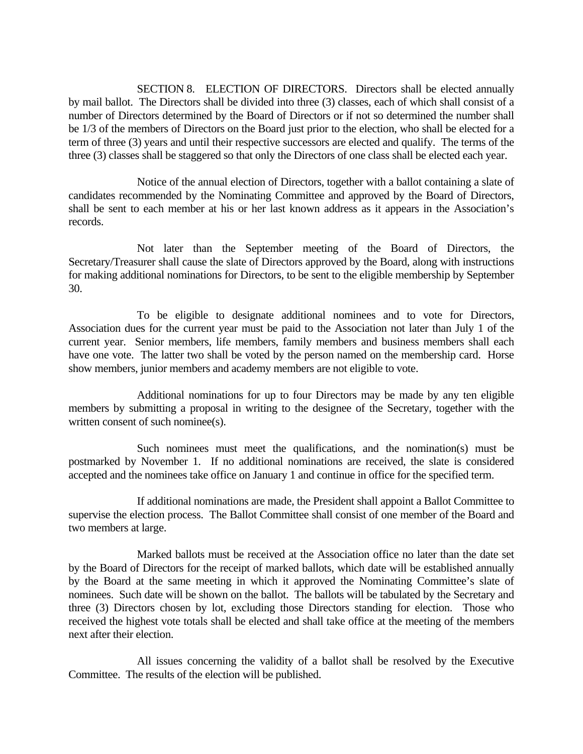SECTION 8. ELECTION OF DIRECTORS. Directors shall be elected annually by mail ballot. The Directors shall be divided into three (3) classes, each of which shall consist of a number of Directors determined by the Board of Directors or if not so determined the number shall be 1/3 of the members of Directors on the Board just prior to the election, who shall be elected for a term of three (3) years and until their respective successors are elected and qualify. The terms of the three (3) classes shall be staggered so that only the Directors of one class shall be elected each year.

 Notice of the annual election of Directors, together with a ballot containing a slate of candidates recommended by the Nominating Committee and approved by the Board of Directors, shall be sent to each member at his or her last known address as it appears in the Association's records.

 Not later than the September meeting of the Board of Directors, the Secretary/Treasurer shall cause the slate of Directors approved by the Board, along with instructions for making additional nominations for Directors, to be sent to the eligible membership by September 30.

 To be eligible to designate additional nominees and to vote for Directors, Association dues for the current year must be paid to the Association not later than July 1 of the current year. Senior members, life members, family members and business members shall each have one vote. The latter two shall be voted by the person named on the membership card. Horse show members, junior members and academy members are not eligible to vote.

 Additional nominations for up to four Directors may be made by any ten eligible members by submitting a proposal in writing to the designee of the Secretary, together with the written consent of such nominee(s).

Such nominees must meet the qualifications, and the nomination(s) must be postmarked by November 1. If no additional nominations are received, the slate is considered accepted and the nominees take office on January 1 and continue in office for the specified term.

 If additional nominations are made, the President shall appoint a Ballot Committee to supervise the election process. The Ballot Committee shall consist of one member of the Board and two members at large.

 Marked ballots must be received at the Association office no later than the date set by the Board of Directors for the receipt of marked ballots, which date will be established annually by the Board at the same meeting in which it approved the Nominating Committee's slate of nominees. Such date will be shown on the ballot. The ballots will be tabulated by the Secretary and three (3) Directors chosen by lot, excluding those Directors standing for election. Those who received the highest vote totals shall be elected and shall take office at the meeting of the members next after their election.

 All issues concerning the validity of a ballot shall be resolved by the Executive Committee. The results of the election will be published.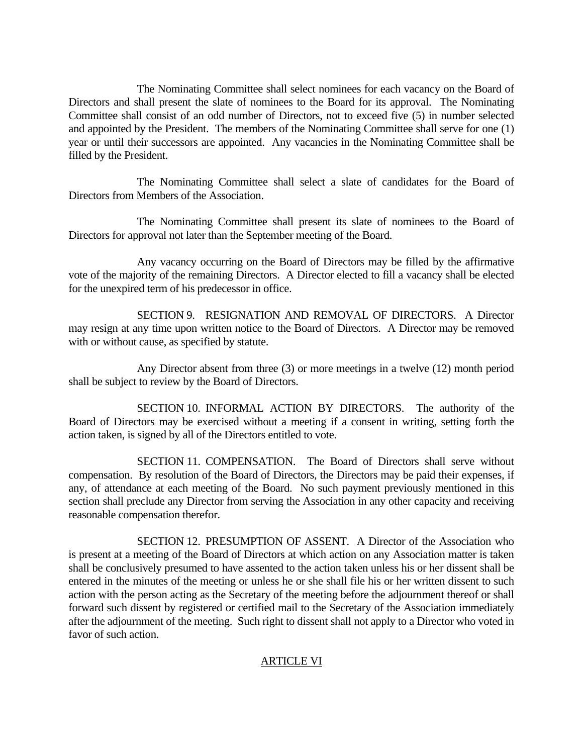The Nominating Committee shall select nominees for each vacancy on the Board of Directors and shall present the slate of nominees to the Board for its approval. The Nominating Committee shall consist of an odd number of Directors, not to exceed five (5) in number selected and appointed by the President. The members of the Nominating Committee shall serve for one (1) year or until their successors are appointed. Any vacancies in the Nominating Committee shall be filled by the President.

 The Nominating Committee shall select a slate of candidates for the Board of Directors from Members of the Association.

 The Nominating Committee shall present its slate of nominees to the Board of Directors for approval not later than the September meeting of the Board.

 Any vacancy occurring on the Board of Directors may be filled by the affirmative vote of the majority of the remaining Directors. A Director elected to fill a vacancy shall be elected for the unexpired term of his predecessor in office.

 SECTION 9. RESIGNATION AND REMOVAL OF DIRECTORS. A Director may resign at any time upon written notice to the Board of Directors. A Director may be removed with or without cause, as specified by statute.

 Any Director absent from three (3) or more meetings in a twelve (12) month period shall be subject to review by the Board of Directors.

 SECTION 10. INFORMAL ACTION BY DIRECTORS. The authority of the Board of Directors may be exercised without a meeting if a consent in writing, setting forth the action taken, is signed by all of the Directors entitled to vote.

 SECTION 11. COMPENSATION. The Board of Directors shall serve without compensation. By resolution of the Board of Directors, the Directors may be paid their expenses, if any, of attendance at each meeting of the Board. No such payment previously mentioned in this section shall preclude any Director from serving the Association in any other capacity and receiving reasonable compensation therefor.

 SECTION 12. PRESUMPTION OF ASSENT. A Director of the Association who is present at a meeting of the Board of Directors at which action on any Association matter is taken shall be conclusively presumed to have assented to the action taken unless his or her dissent shall be entered in the minutes of the meeting or unless he or she shall file his or her written dissent to such action with the person acting as the Secretary of the meeting before the adjournment thereof or shall forward such dissent by registered or certified mail to the Secretary of the Association immediately after the adjournment of the meeting. Such right to dissent shall not apply to a Director who voted in favor of such action.

# ARTICLE VI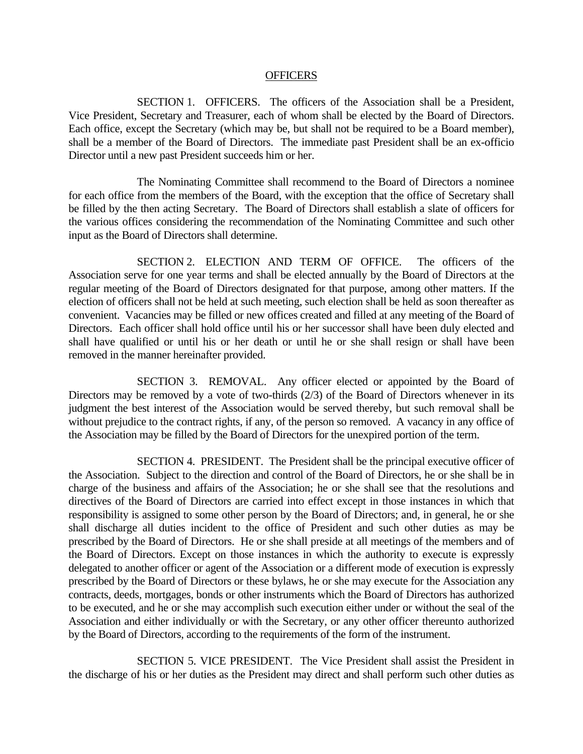#### **OFFICERS**

 SECTION 1. OFFICERS. The officers of the Association shall be a President, Vice President, Secretary and Treasurer, each of whom shall be elected by the Board of Directors. Each office, except the Secretary (which may be, but shall not be required to be a Board member), shall be a member of the Board of Directors. The immediate past President shall be an ex-officio Director until a new past President succeeds him or her.

The Nominating Committee shall recommend to the Board of Directors a nominee for each office from the members of the Board, with the exception that the office of Secretary shall be filled by the then acting Secretary. The Board of Directors shall establish a slate of officers for the various offices considering the recommendation of the Nominating Committee and such other input as the Board of Directors shall determine.

 SECTION 2. ELECTION AND TERM OF OFFICE. The officers of the Association serve for one year terms and shall be elected annually by the Board of Directors at the regular meeting of the Board of Directors designated for that purpose, among other matters. If the election of officers shall not be held at such meeting, such election shall be held as soon thereafter as convenient. Vacancies may be filled or new offices created and filled at any meeting of the Board of Directors. Each officer shall hold office until his or her successor shall have been duly elected and shall have qualified or until his or her death or until he or she shall resign or shall have been removed in the manner hereinafter provided.

 SECTION 3. REMOVAL. Any officer elected or appointed by the Board of Directors may be removed by a vote of two-thirds (2/3) of the Board of Directors whenever in its judgment the best interest of the Association would be served thereby, but such removal shall be without prejudice to the contract rights, if any, of the person so removed. A vacancy in any office of the Association may be filled by the Board of Directors for the unexpired portion of the term.

 SECTION 4. PRESIDENT. The President shall be the principal executive officer of the Association. Subject to the direction and control of the Board of Directors, he or she shall be in charge of the business and affairs of the Association; he or she shall see that the resolutions and directives of the Board of Directors are carried into effect except in those instances in which that responsibility is assigned to some other person by the Board of Directors; and, in general, he or she shall discharge all duties incident to the office of President and such other duties as may be prescribed by the Board of Directors. He or she shall preside at all meetings of the members and of the Board of Directors. Except on those instances in which the authority to execute is expressly delegated to another officer or agent of the Association or a different mode of execution is expressly prescribed by the Board of Directors or these bylaws, he or she may execute for the Association any contracts, deeds, mortgages, bonds or other instruments which the Board of Directors has authorized to be executed, and he or she may accomplish such execution either under or without the seal of the Association and either individually or with the Secretary, or any other officer thereunto authorized by the Board of Directors, according to the requirements of the form of the instrument.

 SECTION 5. VICE PRESIDENT. The Vice President shall assist the President in the discharge of his or her duties as the President may direct and shall perform such other duties as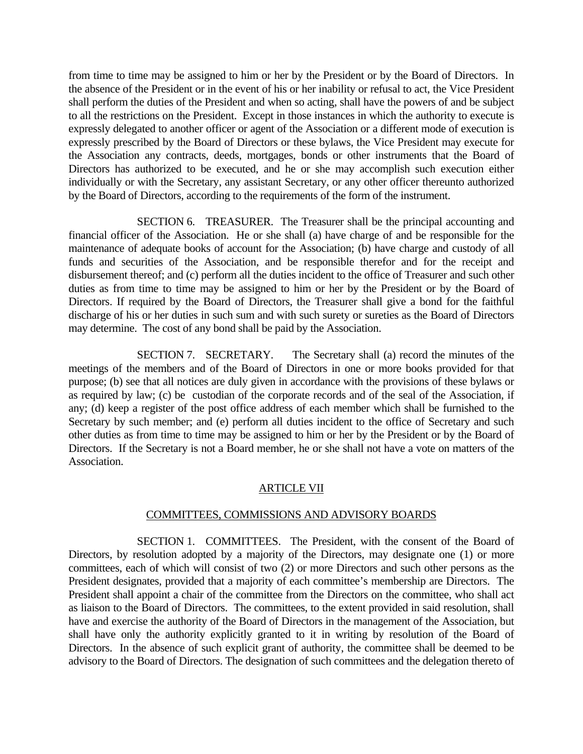from time to time may be assigned to him or her by the President or by the Board of Directors. In the absence of the President or in the event of his or her inability or refusal to act, the Vice President shall perform the duties of the President and when so acting, shall have the powers of and be subject to all the restrictions on the President. Except in those instances in which the authority to execute is expressly delegated to another officer or agent of the Association or a different mode of execution is expressly prescribed by the Board of Directors or these bylaws, the Vice President may execute for the Association any contracts, deeds, mortgages, bonds or other instruments that the Board of Directors has authorized to be executed, and he or she may accomplish such execution either individually or with the Secretary, any assistant Secretary, or any other officer thereunto authorized by the Board of Directors, according to the requirements of the form of the instrument.

 SECTION 6. TREASURER. The Treasurer shall be the principal accounting and financial officer of the Association. He or she shall (a) have charge of and be responsible for the maintenance of adequate books of account for the Association; (b) have charge and custody of all funds and securities of the Association, and be responsible therefor and for the receipt and disbursement thereof; and (c) perform all the duties incident to the office of Treasurer and such other duties as from time to time may be assigned to him or her by the President or by the Board of Directors. If required by the Board of Directors, the Treasurer shall give a bond for the faithful discharge of his or her duties in such sum and with such surety or sureties as the Board of Directors may determine. The cost of any bond shall be paid by the Association.

 SECTION 7. SECRETARY. The Secretary shall (a) record the minutes of the meetings of the members and of the Board of Directors in one or more books provided for that purpose; (b) see that all notices are duly given in accordance with the provisions of these bylaws or as required by law; (c) be custodian of the corporate records and of the seal of the Association, if any; (d) keep a register of the post office address of each member which shall be furnished to the Secretary by such member; and (e) perform all duties incident to the office of Secretary and such other duties as from time to time may be assigned to him or her by the President or by the Board of Directors. If the Secretary is not a Board member, he or she shall not have a vote on matters of the Association.

# ARTICLE VII

## COMMITTEES, COMMISSIONS AND ADVISORY BOARDS

 SECTION 1. COMMITTEES. The President, with the consent of the Board of Directors, by resolution adopted by a majority of the Directors, may designate one (1) or more committees, each of which will consist of two (2) or more Directors and such other persons as the President designates, provided that a majority of each committee's membership are Directors. The President shall appoint a chair of the committee from the Directors on the committee, who shall act as liaison to the Board of Directors. The committees, to the extent provided in said resolution, shall have and exercise the authority of the Board of Directors in the management of the Association, but shall have only the authority explicitly granted to it in writing by resolution of the Board of Directors. In the absence of such explicit grant of authority, the committee shall be deemed to be advisory to the Board of Directors. The designation of such committees and the delegation thereto of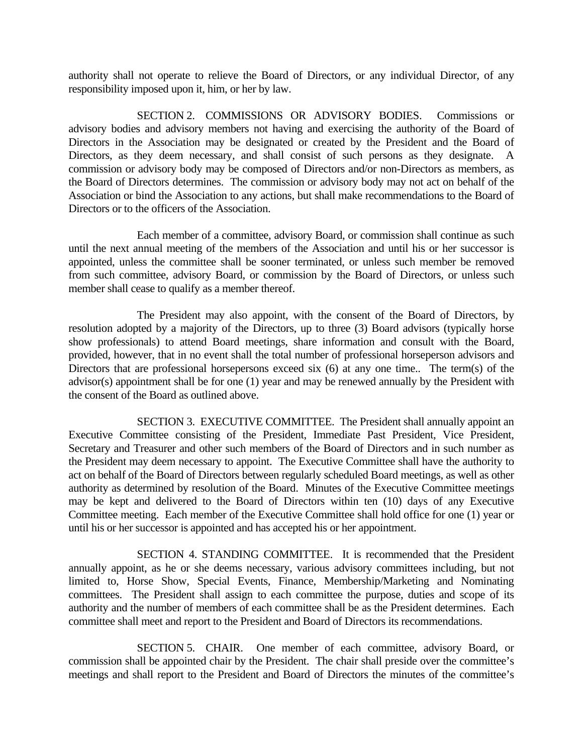authority shall not operate to relieve the Board of Directors, or any individual Director, of any responsibility imposed upon it, him, or her by law.

 SECTION 2. COMMISSIONS OR ADVISORY BODIES. Commissions or advisory bodies and advisory members not having and exercising the authority of the Board of Directors in the Association may be designated or created by the President and the Board of Directors, as they deem necessary, and shall consist of such persons as they designate. A commission or advisory body may be composed of Directors and/or non-Directors as members, as the Board of Directors determines. The commission or advisory body may not act on behalf of the Association or bind the Association to any actions, but shall make recommendations to the Board of Directors or to the officers of the Association.

 Each member of a committee, advisory Board, or commission shall continue as such until the next annual meeting of the members of the Association and until his or her successor is appointed, unless the committee shall be sooner terminated, or unless such member be removed from such committee, advisory Board, or commission by the Board of Directors, or unless such member shall cease to qualify as a member thereof.

 The President may also appoint, with the consent of the Board of Directors, by resolution adopted by a majority of the Directors, up to three (3) Board advisors (typically horse show professionals) to attend Board meetings, share information and consult with the Board, provided, however, that in no event shall the total number of professional horseperson advisors and Directors that are professional horsepersons exceed six (6) at any one time.. The term(s) of the advisor(s) appointment shall be for one (1) year and may be renewed annually by the President with the consent of the Board as outlined above.

 SECTION 3. EXECUTIVE COMMITTEE. The President shall annually appoint an Executive Committee consisting of the President, Immediate Past President, Vice President, Secretary and Treasurer and other such members of the Board of Directors and in such number as the President may deem necessary to appoint. The Executive Committee shall have the authority to act on behalf of the Board of Directors between regularly scheduled Board meetings, as well as other authority as determined by resolution of the Board. Minutes of the Executive Committee meetings may be kept and delivered to the Board of Directors within ten (10) days of any Executive Committee meeting. Each member of the Executive Committee shall hold office for one (1) year or until his or her successor is appointed and has accepted his or her appointment.

 SECTION 4. STANDING COMMITTEE. It is recommended that the President annually appoint, as he or she deems necessary, various advisory committees including, but not limited to, Horse Show, Special Events, Finance, Membership/Marketing and Nominating committees. The President shall assign to each committee the purpose, duties and scope of its authority and the number of members of each committee shall be as the President determines. Each committee shall meet and report to the President and Board of Directors its recommendations.

 SECTION 5. CHAIR. One member of each committee, advisory Board, or commission shall be appointed chair by the President. The chair shall preside over the committee's meetings and shall report to the President and Board of Directors the minutes of the committee's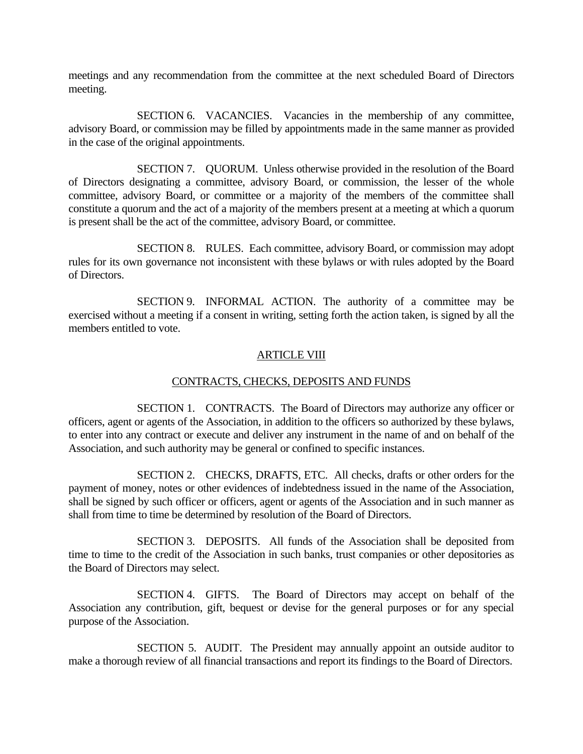meetings and any recommendation from the committee at the next scheduled Board of Directors meeting.

 SECTION 6. VACANCIES. Vacancies in the membership of any committee, advisory Board, or commission may be filled by appointments made in the same manner as provided in the case of the original appointments.

 SECTION 7. QUORUM. Unless otherwise provided in the resolution of the Board of Directors designating a committee, advisory Board, or commission, the lesser of the whole committee, advisory Board, or committee or a majority of the members of the committee shall constitute a quorum and the act of a majority of the members present at a meeting at which a quorum is present shall be the act of the committee, advisory Board, or committee.

 SECTION 8. RULES. Each committee, advisory Board, or commission may adopt rules for its own governance not inconsistent with these bylaws or with rules adopted by the Board of Directors.

 SECTION 9. INFORMAL ACTION. The authority of a committee may be exercised without a meeting if a consent in writing, setting forth the action taken, is signed by all the members entitled to vote.

# ARTICLE VIII

# CONTRACTS, CHECKS, DEPOSITS AND FUNDS

 SECTION 1. CONTRACTS. The Board of Directors may authorize any officer or officers, agent or agents of the Association, in addition to the officers so authorized by these bylaws, to enter into any contract or execute and deliver any instrument in the name of and on behalf of the Association, and such authority may be general or confined to specific instances.

 SECTION 2. CHECKS, DRAFTS, ETC. All checks, drafts or other orders for the payment of money, notes or other evidences of indebtedness issued in the name of the Association, shall be signed by such officer or officers, agent or agents of the Association and in such manner as shall from time to time be determined by resolution of the Board of Directors.

 SECTION 3. DEPOSITS. All funds of the Association shall be deposited from time to time to the credit of the Association in such banks, trust companies or other depositories as the Board of Directors may select.

 SECTION 4. GIFTS. The Board of Directors may accept on behalf of the Association any contribution, gift, bequest or devise for the general purposes or for any special purpose of the Association.

 SECTION 5. AUDIT. The President may annually appoint an outside auditor to make a thorough review of all financial transactions and report its findings to the Board of Directors.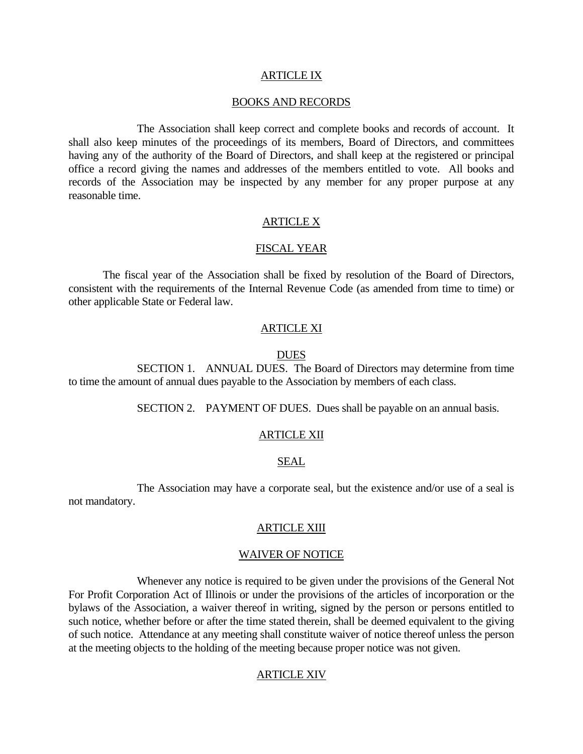### ARTICLE IX

#### BOOKS AND RECORDS

 The Association shall keep correct and complete books and records of account. It shall also keep minutes of the proceedings of its members, Board of Directors, and committees having any of the authority of the Board of Directors, and shall keep at the registered or principal office a record giving the names and addresses of the members entitled to vote. All books and records of the Association may be inspected by any member for any proper purpose at any reasonable time.

## ARTICLE X

#### FISCAL YEAR

 The fiscal year of the Association shall be fixed by resolution of the Board of Directors, consistent with the requirements of the Internal Revenue Code (as amended from time to time) or other applicable State or Federal law.

#### ARTICLE XI

#### DUES

 SECTION 1. ANNUAL DUES. The Board of Directors may determine from time to time the amount of annual dues payable to the Association by members of each class.

SECTION 2. PAYMENT OF DUES. Dues shall be payable on an annual basis.

#### ARTICLE XII

### SEAL

 The Association may have a corporate seal, but the existence and/or use of a seal is not mandatory.

### ARTICLE XIII

### WAIVER OF NOTICE

 Whenever any notice is required to be given under the provisions of the General Not For Profit Corporation Act of Illinois or under the provisions of the articles of incorporation or the bylaws of the Association, a waiver thereof in writing, signed by the person or persons entitled to such notice, whether before or after the time stated therein, shall be deemed equivalent to the giving of such notice. Attendance at any meeting shall constitute waiver of notice thereof unless the person at the meeting objects to the holding of the meeting because proper notice was not given.

## ARTICLE XIV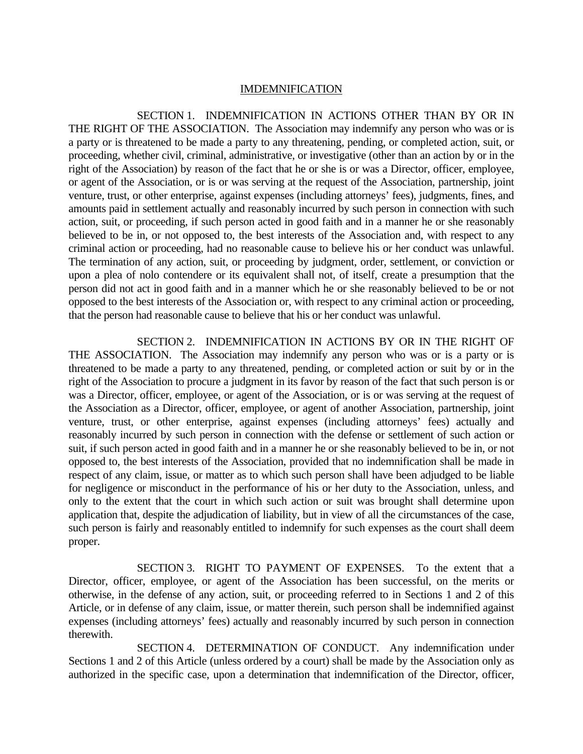### IMDEMNIFICATION

 SECTION 1. INDEMNIFICATION IN ACTIONS OTHER THAN BY OR IN THE RIGHT OF THE ASSOCIATION. The Association may indemnify any person who was or is a party or is threatened to be made a party to any threatening, pending, or completed action, suit, or proceeding, whether civil, criminal, administrative, or investigative (other than an action by or in the right of the Association) by reason of the fact that he or she is or was a Director, officer, employee, or agent of the Association, or is or was serving at the request of the Association, partnership, joint venture, trust, or other enterprise, against expenses (including attorneys' fees), judgments, fines, and amounts paid in settlement actually and reasonably incurred by such person in connection with such action, suit, or proceeding, if such person acted in good faith and in a manner he or she reasonably believed to be in, or not opposed to, the best interests of the Association and, with respect to any criminal action or proceeding, had no reasonable cause to believe his or her conduct was unlawful. The termination of any action, suit, or proceeding by judgment, order, settlement, or conviction or upon a plea of nolo contendere or its equivalent shall not, of itself, create a presumption that the person did not act in good faith and in a manner which he or she reasonably believed to be or not opposed to the best interests of the Association or, with respect to any criminal action or proceeding, that the person had reasonable cause to believe that his or her conduct was unlawful.

 SECTION 2. INDEMNIFICATION IN ACTIONS BY OR IN THE RIGHT OF THE ASSOCIATION. The Association may indemnify any person who was or is a party or is threatened to be made a party to any threatened, pending, or completed action or suit by or in the right of the Association to procure a judgment in its favor by reason of the fact that such person is or was a Director, officer, employee, or agent of the Association, or is or was serving at the request of the Association as a Director, officer, employee, or agent of another Association, partnership, joint venture, trust, or other enterprise, against expenses (including attorneys' fees) actually and reasonably incurred by such person in connection with the defense or settlement of such action or suit, if such person acted in good faith and in a manner he or she reasonably believed to be in, or not opposed to, the best interests of the Association, provided that no indemnification shall be made in respect of any claim, issue, or matter as to which such person shall have been adjudged to be liable for negligence or misconduct in the performance of his or her duty to the Association, unless, and only to the extent that the court in which such action or suit was brought shall determine upon application that, despite the adjudication of liability, but in view of all the circumstances of the case, such person is fairly and reasonably entitled to indemnify for such expenses as the court shall deem proper.

 SECTION 3. RIGHT TO PAYMENT OF EXPENSES. To the extent that a Director, officer, employee, or agent of the Association has been successful, on the merits or otherwise, in the defense of any action, suit, or proceeding referred to in Sections 1 and 2 of this Article, or in defense of any claim, issue, or matter therein, such person shall be indemnified against expenses (including attorneys' fees) actually and reasonably incurred by such person in connection therewith.

 SECTION 4. DETERMINATION OF CONDUCT. Any indemnification under Sections 1 and 2 of this Article (unless ordered by a court) shall be made by the Association only as authorized in the specific case, upon a determination that indemnification of the Director, officer,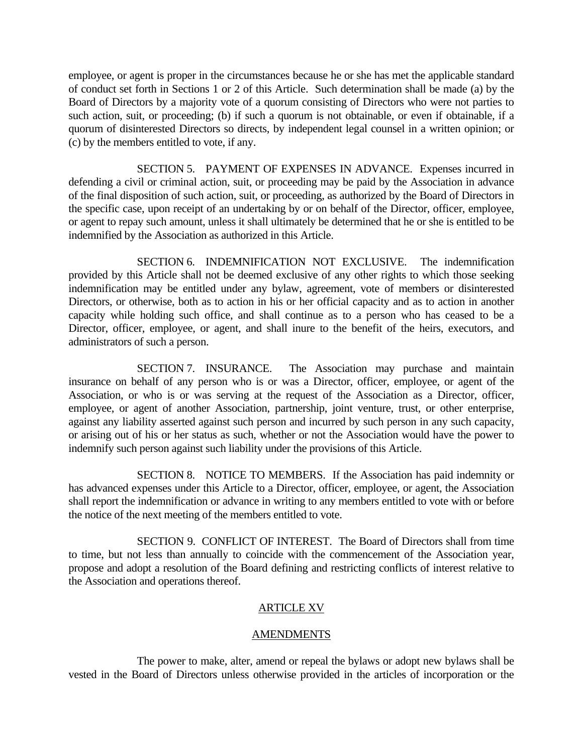employee, or agent is proper in the circumstances because he or she has met the applicable standard of conduct set forth in Sections 1 or 2 of this Article. Such determination shall be made (a) by the Board of Directors by a majority vote of a quorum consisting of Directors who were not parties to such action, suit, or proceeding; (b) if such a quorum is not obtainable, or even if obtainable, if a quorum of disinterested Directors so directs, by independent legal counsel in a written opinion; or (c) by the members entitled to vote, if any.

 SECTION 5. PAYMENT OF EXPENSES IN ADVANCE. Expenses incurred in defending a civil or criminal action, suit, or proceeding may be paid by the Association in advance of the final disposition of such action, suit, or proceeding, as authorized by the Board of Directors in the specific case, upon receipt of an undertaking by or on behalf of the Director, officer, employee, or agent to repay such amount, unless it shall ultimately be determined that he or she is entitled to be indemnified by the Association as authorized in this Article.

 SECTION 6. INDEMNIFICATION NOT EXCLUSIVE. The indemnification provided by this Article shall not be deemed exclusive of any other rights to which those seeking indemnification may be entitled under any bylaw, agreement, vote of members or disinterested Directors, or otherwise, both as to action in his or her official capacity and as to action in another capacity while holding such office, and shall continue as to a person who has ceased to be a Director, officer, employee, or agent, and shall inure to the benefit of the heirs, executors, and administrators of such a person.

 SECTION 7. INSURANCE. The Association may purchase and maintain insurance on behalf of any person who is or was a Director, officer, employee, or agent of the Association, or who is or was serving at the request of the Association as a Director, officer, employee, or agent of another Association, partnership, joint venture, trust, or other enterprise, against any liability asserted against such person and incurred by such person in any such capacity, or arising out of his or her status as such, whether or not the Association would have the power to indemnify such person against such liability under the provisions of this Article.

 SECTION 8. NOTICE TO MEMBERS. If the Association has paid indemnity or has advanced expenses under this Article to a Director, officer, employee, or agent, the Association shall report the indemnification or advance in writing to any members entitled to vote with or before the notice of the next meeting of the members entitled to vote.

 SECTION 9. CONFLICT OF INTEREST. The Board of Directors shall from time to time, but not less than annually to coincide with the commencement of the Association year, propose and adopt a resolution of the Board defining and restricting conflicts of interest relative to the Association and operations thereof.

# ARTICLE XV

# **AMENDMENTS**

 The power to make, alter, amend or repeal the bylaws or adopt new bylaws shall be vested in the Board of Directors unless otherwise provided in the articles of incorporation or the